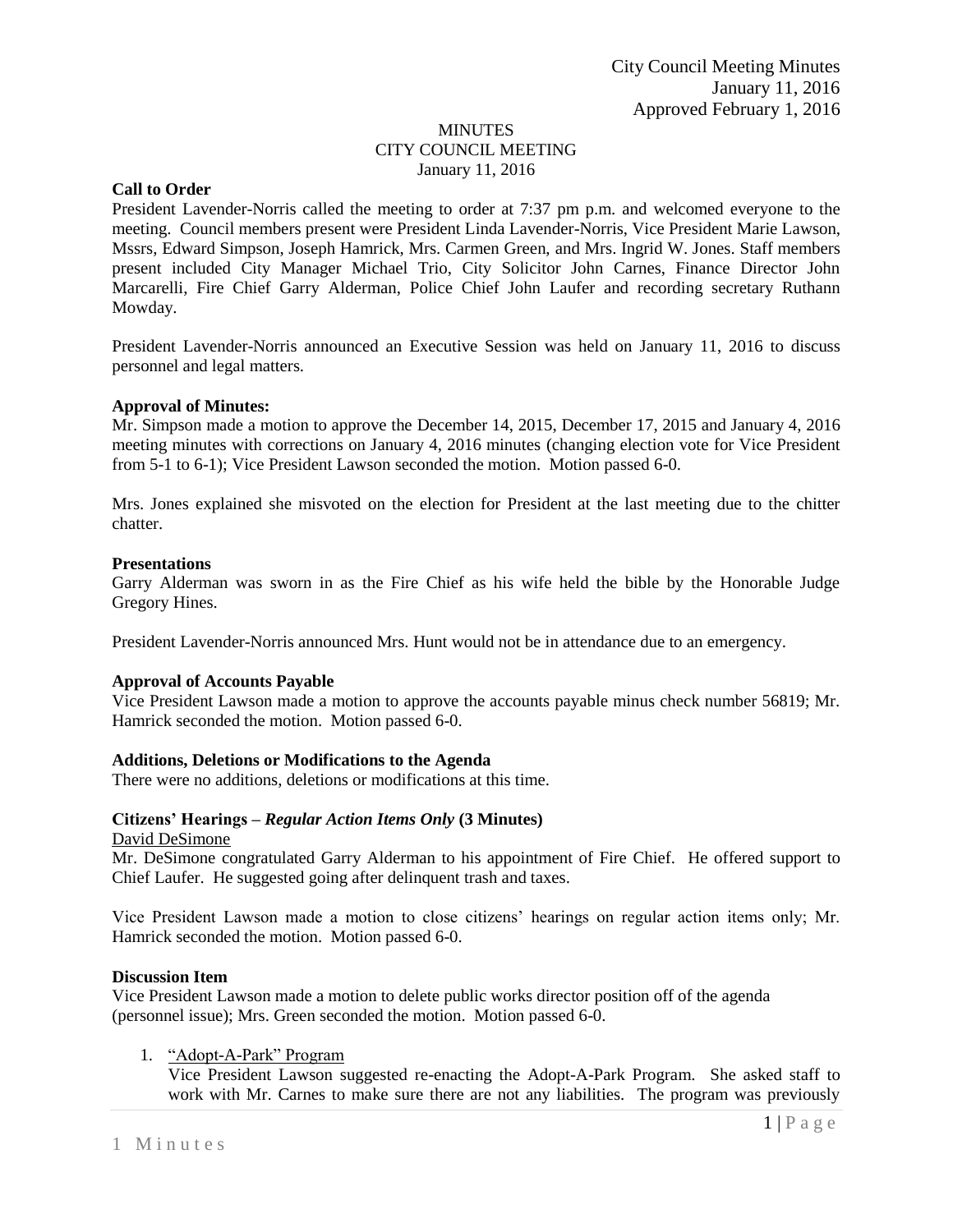## MINUTES CITY COUNCIL MEETING January 11, 2016

## **Call to Order**

President Lavender-Norris called the meeting to order at 7:37 pm p.m. and welcomed everyone to the meeting. Council members present were President Linda Lavender-Norris, Vice President Marie Lawson, Mssrs, Edward Simpson, Joseph Hamrick, Mrs. Carmen Green, and Mrs. Ingrid W. Jones. Staff members present included City Manager Michael Trio, City Solicitor John Carnes, Finance Director John Marcarelli, Fire Chief Garry Alderman, Police Chief John Laufer and recording secretary Ruthann Mowday.

President Lavender-Norris announced an Executive Session was held on January 11, 2016 to discuss personnel and legal matters.

### **Approval of Minutes:**

Mr. Simpson made a motion to approve the December 14, 2015, December 17, 2015 and January 4, 2016 meeting minutes with corrections on January 4, 2016 minutes (changing election vote for Vice President from 5-1 to 6-1); Vice President Lawson seconded the motion. Motion passed 6-0.

Mrs. Jones explained she misvoted on the election for President at the last meeting due to the chitter chatter.

### **Presentations**

Garry Alderman was sworn in as the Fire Chief as his wife held the bible by the Honorable Judge Gregory Hines.

President Lavender-Norris announced Mrs. Hunt would not be in attendance due to an emergency.

# **Approval of Accounts Payable**

Vice President Lawson made a motion to approve the accounts payable minus check number 56819; Mr. Hamrick seconded the motion. Motion passed 6-0.

### **Additions, Deletions or Modifications to the Agenda**

There were no additions, deletions or modifications at this time.

# **Citizens' Hearings –** *Regular Action Items Only* **(3 Minutes)**

### David DeSimone

Mr. DeSimone congratulated Garry Alderman to his appointment of Fire Chief. He offered support to Chief Laufer. He suggested going after delinquent trash and taxes.

Vice President Lawson made a motion to close citizens' hearings on regular action items only; Mr. Hamrick seconded the motion. Motion passed 6-0.

### **Discussion Item**

Vice President Lawson made a motion to delete public works director position off of the agenda (personnel issue); Mrs. Green seconded the motion. Motion passed 6-0.

# 1. "Adopt-A-Park" Program

Vice President Lawson suggested re-enacting the Adopt-A-Park Program. She asked staff to work with Mr. Carnes to make sure there are not any liabilities. The program was previously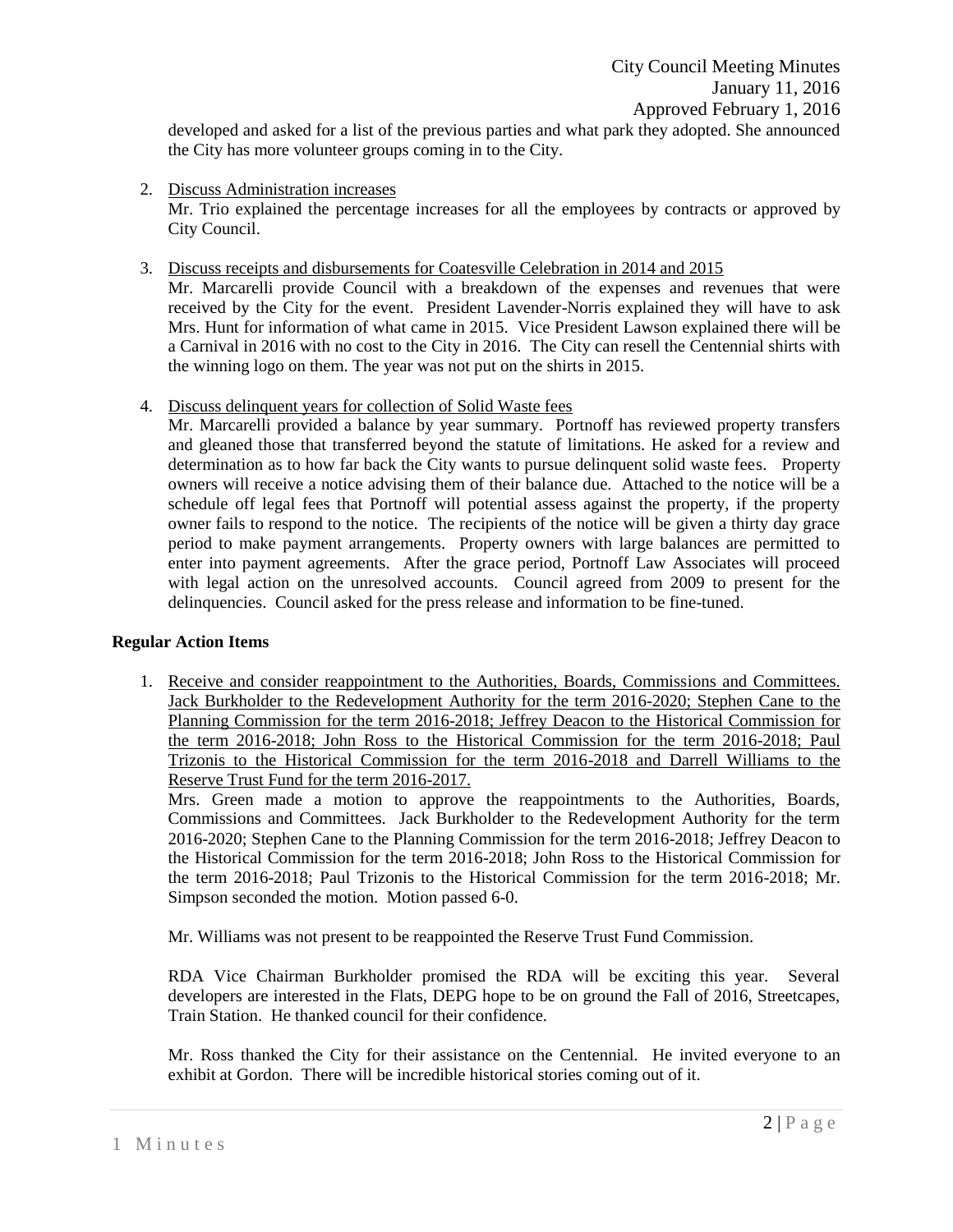developed and asked for a list of the previous parties and what park they adopted. She announced the City has more volunteer groups coming in to the City.

2. Discuss Administration increases

Mr. Trio explained the percentage increases for all the employees by contracts or approved by City Council.

3. Discuss receipts and disbursements for Coatesville Celebration in 2014 and 2015

Mr. Marcarelli provide Council with a breakdown of the expenses and revenues that were received by the City for the event. President Lavender-Norris explained they will have to ask Mrs. Hunt for information of what came in 2015. Vice President Lawson explained there will be a Carnival in 2016 with no cost to the City in 2016. The City can resell the Centennial shirts with the winning logo on them. The year was not put on the shirts in 2015.

4. Discuss delinquent years for collection of Solid Waste fees

Mr. Marcarelli provided a balance by year summary. Portnoff has reviewed property transfers and gleaned those that transferred beyond the statute of limitations. He asked for a review and determination as to how far back the City wants to pursue delinquent solid waste fees. Property owners will receive a notice advising them of their balance due. Attached to the notice will be a schedule off legal fees that Portnoff will potential assess against the property, if the property owner fails to respond to the notice. The recipients of the notice will be given a thirty day grace period to make payment arrangements. Property owners with large balances are permitted to enter into payment agreements. After the grace period, Portnoff Law Associates will proceed with legal action on the unresolved accounts. Council agreed from 2009 to present for the delinquencies. Council asked for the press release and information to be fine-tuned.

# **Regular Action Items**

1. Receive and consider reappointment to the Authorities, Boards, Commissions and Committees. Jack Burkholder to the Redevelopment Authority for the term 2016-2020; Stephen Cane to the Planning Commission for the term 2016-2018; Jeffrey Deacon to the Historical Commission for the term 2016-2018; John Ross to the Historical Commission for the term 2016-2018; Paul Trizonis to the Historical Commission for the term 2016-2018 and Darrell Williams to the Reserve Trust Fund for the term 2016-2017.

Mrs. Green made a motion to approve the reappointments to the Authorities, Boards, Commissions and Committees. Jack Burkholder to the Redevelopment Authority for the term 2016-2020; Stephen Cane to the Planning Commission for the term 2016-2018; Jeffrey Deacon to the Historical Commission for the term 2016-2018; John Ross to the Historical Commission for the term 2016-2018; Paul Trizonis to the Historical Commission for the term 2016-2018; Mr. Simpson seconded the motion. Motion passed 6-0.

Mr. Williams was not present to be reappointed the Reserve Trust Fund Commission.

RDA Vice Chairman Burkholder promised the RDA will be exciting this year. Several developers are interested in the Flats, DEPG hope to be on ground the Fall of 2016, Streetcapes, Train Station. He thanked council for their confidence.

Mr. Ross thanked the City for their assistance on the Centennial. He invited everyone to an exhibit at Gordon. There will be incredible historical stories coming out of it.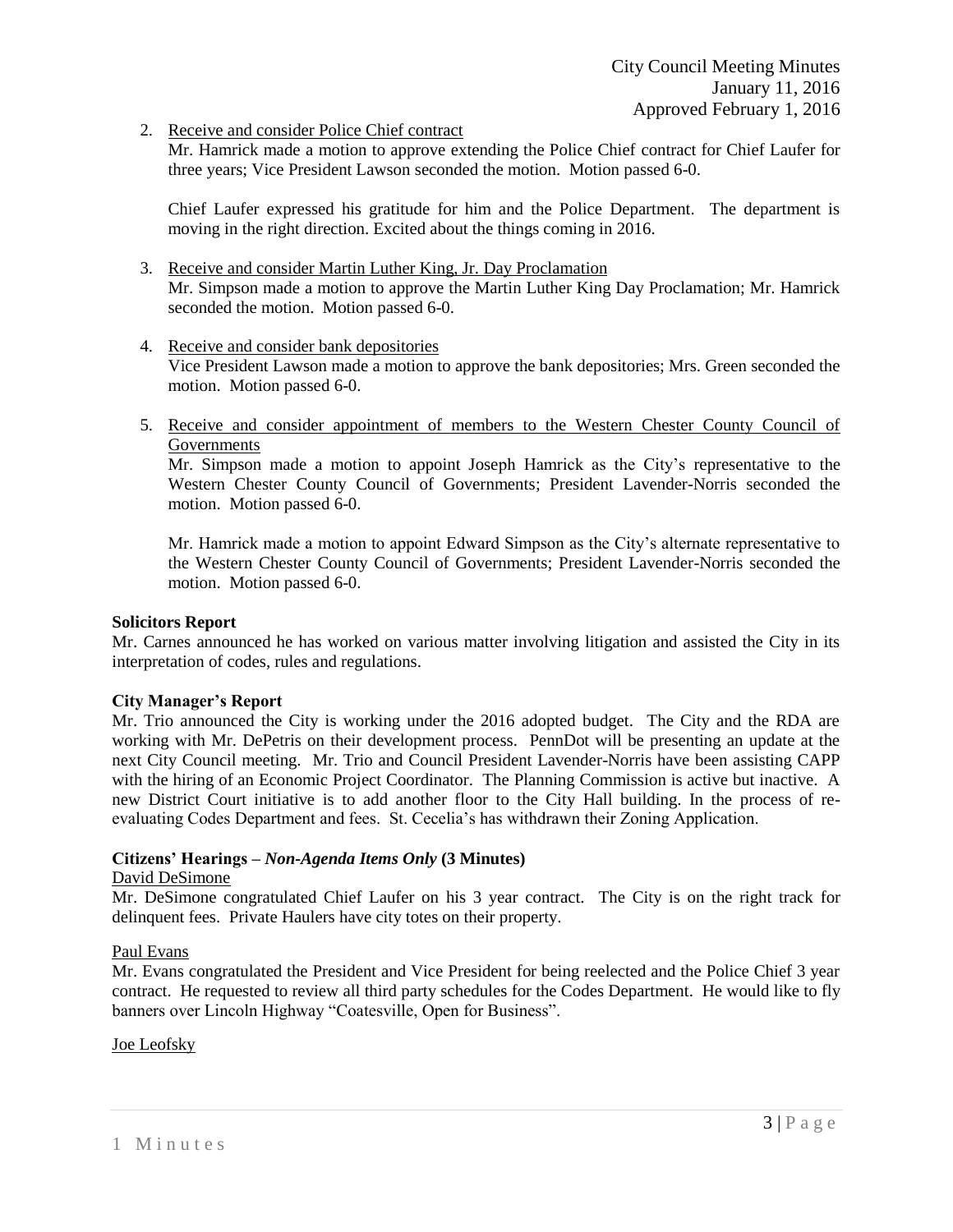2. Receive and consider Police Chief contract

Mr. Hamrick made a motion to approve extending the Police Chief contract for Chief Laufer for three years; Vice President Lawson seconded the motion. Motion passed 6-0.

Chief Laufer expressed his gratitude for him and the Police Department. The department is moving in the right direction. Excited about the things coming in 2016.

- 3. Receive and consider Martin Luther King, Jr. Day Proclamation Mr. Simpson made a motion to approve the Martin Luther King Day Proclamation; Mr. Hamrick seconded the motion. Motion passed 6-0.
- 4. Receive and consider bank depositories Vice President Lawson made a motion to approve the bank depositories; Mrs. Green seconded the motion. Motion passed 6-0.
- 5. Receive and consider appointment of members to the Western Chester County Council of Governments

Mr. Simpson made a motion to appoint Joseph Hamrick as the City's representative to the Western Chester County Council of Governments; President Lavender-Norris seconded the motion. Motion passed 6-0.

Mr. Hamrick made a motion to appoint Edward Simpson as the City's alternate representative to the Western Chester County Council of Governments; President Lavender-Norris seconded the motion. Motion passed 6-0.

# **Solicitors Report**

Mr. Carnes announced he has worked on various matter involving litigation and assisted the City in its interpretation of codes, rules and regulations.

# **City Manager's Report**

Mr. Trio announced the City is working under the 2016 adopted budget. The City and the RDA are working with Mr. DePetris on their development process. PennDot will be presenting an update at the next City Council meeting. Mr. Trio and Council President Lavender-Norris have been assisting CAPP with the hiring of an Economic Project Coordinator. The Planning Commission is active but inactive. A new District Court initiative is to add another floor to the City Hall building. In the process of reevaluating Codes Department and fees. St. Cecelia's has withdrawn their Zoning Application.

# **Citizens' Hearings –** *Non-Agenda Items Only* **(3 Minutes)**

# David DeSimone

Mr. DeSimone congratulated Chief Laufer on his 3 year contract. The City is on the right track for delinquent fees. Private Haulers have city totes on their property.

# Paul Evans

Mr. Evans congratulated the President and Vice President for being reelected and the Police Chief 3 year contract. He requested to review all third party schedules for the Codes Department. He would like to fly banners over Lincoln Highway "Coatesville, Open for Business".

# Joe Leofsky